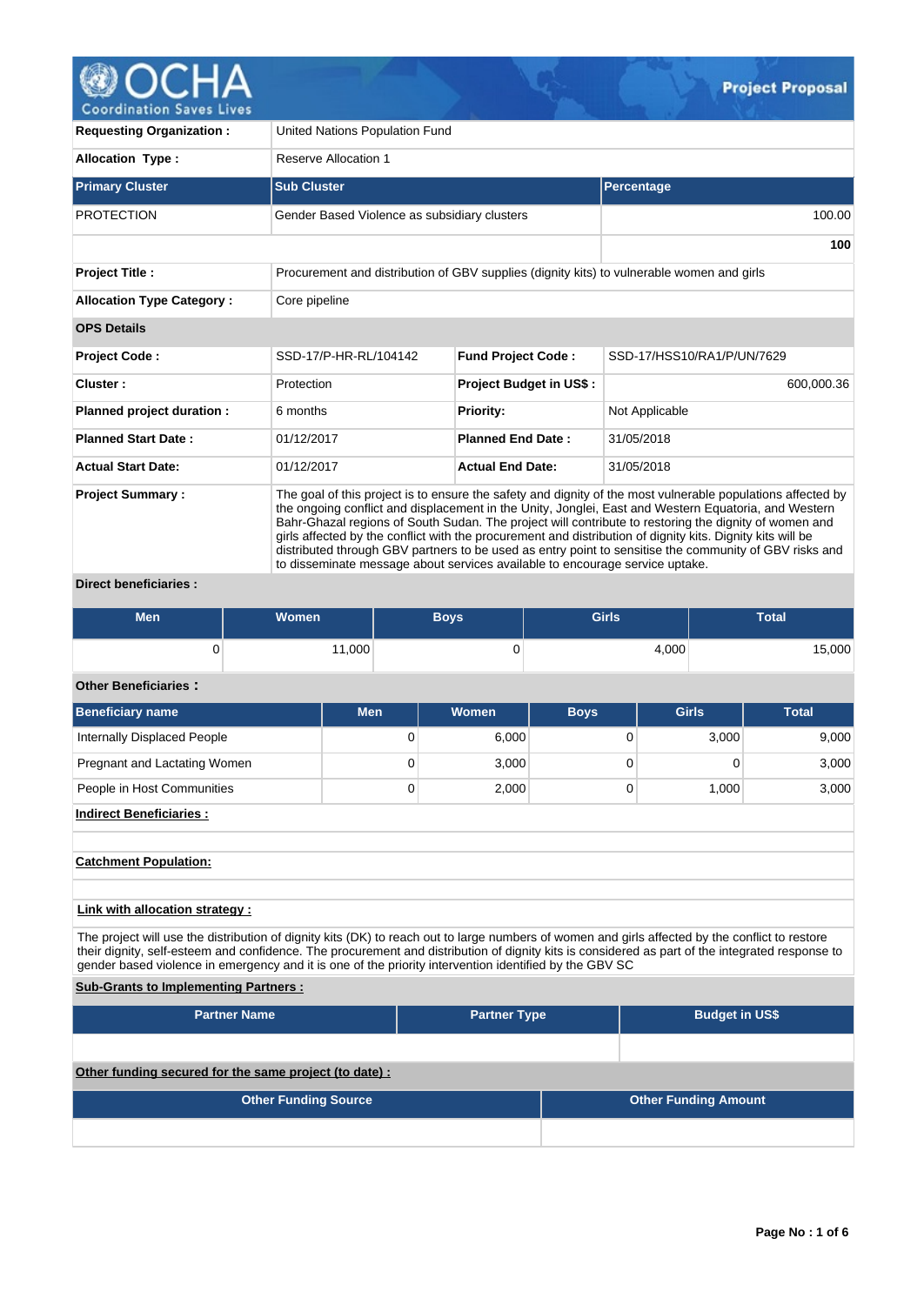

**Requesting Organization :** United Nations Population Fund

| <b>Allocation Type:</b>          | Reserve Allocation 1                                                                                                                                                                                                                                                                                                                                                                                                                                                                                                                                                                                                                 |                                |                            |  |  |  |  |  |  |
|----------------------------------|--------------------------------------------------------------------------------------------------------------------------------------------------------------------------------------------------------------------------------------------------------------------------------------------------------------------------------------------------------------------------------------------------------------------------------------------------------------------------------------------------------------------------------------------------------------------------------------------------------------------------------------|--------------------------------|----------------------------|--|--|--|--|--|--|
| <b>Primary Cluster</b>           | <b>Sub Cluster</b>                                                                                                                                                                                                                                                                                                                                                                                                                                                                                                                                                                                                                   |                                | Percentage                 |  |  |  |  |  |  |
| <b>PROTECTION</b>                | Gender Based Violence as subsidiary clusters                                                                                                                                                                                                                                                                                                                                                                                                                                                                                                                                                                                         |                                | 100.00                     |  |  |  |  |  |  |
|                                  |                                                                                                                                                                                                                                                                                                                                                                                                                                                                                                                                                                                                                                      |                                | 100                        |  |  |  |  |  |  |
| <b>Project Title:</b>            | Procurement and distribution of GBV supplies (dignity kits) to vulnerable women and girls                                                                                                                                                                                                                                                                                                                                                                                                                                                                                                                                            |                                |                            |  |  |  |  |  |  |
| <b>Allocation Type Category:</b> | Core pipeline                                                                                                                                                                                                                                                                                                                                                                                                                                                                                                                                                                                                                        |                                |                            |  |  |  |  |  |  |
| <b>OPS Details</b>               |                                                                                                                                                                                                                                                                                                                                                                                                                                                                                                                                                                                                                                      |                                |                            |  |  |  |  |  |  |
| <b>Project Code:</b>             | SSD-17/P-HR-RL/104142                                                                                                                                                                                                                                                                                                                                                                                                                                                                                                                                                                                                                | <b>Fund Project Code:</b>      | SSD-17/HSS10/RA1/P/UN/7629 |  |  |  |  |  |  |
| Cluster:                         | Protection                                                                                                                                                                                                                                                                                                                                                                                                                                                                                                                                                                                                                           | <b>Project Budget in US\$:</b> | 600,000.36                 |  |  |  |  |  |  |
| Planned project duration :       | 6 months                                                                                                                                                                                                                                                                                                                                                                                                                                                                                                                                                                                                                             | <b>Priority:</b>               | Not Applicable             |  |  |  |  |  |  |
| <b>Planned Start Date:</b>       | 01/12/2017                                                                                                                                                                                                                                                                                                                                                                                                                                                                                                                                                                                                                           | <b>Planned End Date:</b>       | 31/05/2018                 |  |  |  |  |  |  |
| <b>Actual Start Date:</b>        | 01/12/2017                                                                                                                                                                                                                                                                                                                                                                                                                                                                                                                                                                                                                           | <b>Actual End Date:</b>        | 31/05/2018                 |  |  |  |  |  |  |
| <b>Project Summary:</b>          | The goal of this project is to ensure the safety and dignity of the most vulnerable populations affected by<br>the ongoing conflict and displacement in the Unity, Jonglei, East and Western Equatoria, and Western<br>Bahr-Ghazal regions of South Sudan. The project will contribute to restoring the dignity of women and<br>girls affected by the conflict with the procurement and distribution of dignity kits. Dignity kits will be<br>distributed through GBV partners to be used as entry point to sensitise the community of GBV risks and<br>to disseminate message about services available to encourage service uptake. |                                |                            |  |  |  |  |  |  |

# **Direct beneficiaries :**

| <b>Men</b> | <b>Women</b> | <b>Boys</b> | <b>Girls</b> | Total  |
|------------|--------------|-------------|--------------|--------|
|            | 11,000       | υ           | 4,000        | 15,000 |

## **Other Beneficiaries :**

| Beneficiary name             | <b>Men</b> | Women | <b>Boys</b> | Girls | <b>Total</b> |
|------------------------------|------------|-------|-------------|-------|--------------|
| Internally Displaced People  | 0          | 6,000 |             | 3,000 | 9,000        |
| Pregnant and Lactating Women | 0          | 3,000 |             |       | 3,000        |
| People in Host Communities   | 0          | 2,000 |             | 1.000 | 3,000        |
| Indirect Beneficiaries :     |            |       |             |       |              |

### **Catchment Population:**

## **Link with allocation strategy :**

The project will use the distribution of dignity kits (DK) to reach out to large numbers of women and girls affected by the conflict to restore their dignity, self-esteem and confidence. The procurement and distribution of dignity kits is considered as part of the integrated response to gender based violence in emergency and it is one of the priority intervention identified by the GBV SC

## **Sub-Grants to Implementing Partners :**

| <b>Partner Name</b>                                   | <b>Partner Type</b> | <b>Budget in US\$</b>       |
|-------------------------------------------------------|---------------------|-----------------------------|
|                                                       |                     |                             |
| Other funding secured for the same project (to date): |                     |                             |
| <b>Other Funding Source</b>                           |                     | <b>Other Funding Amount</b> |
|                                                       |                     |                             |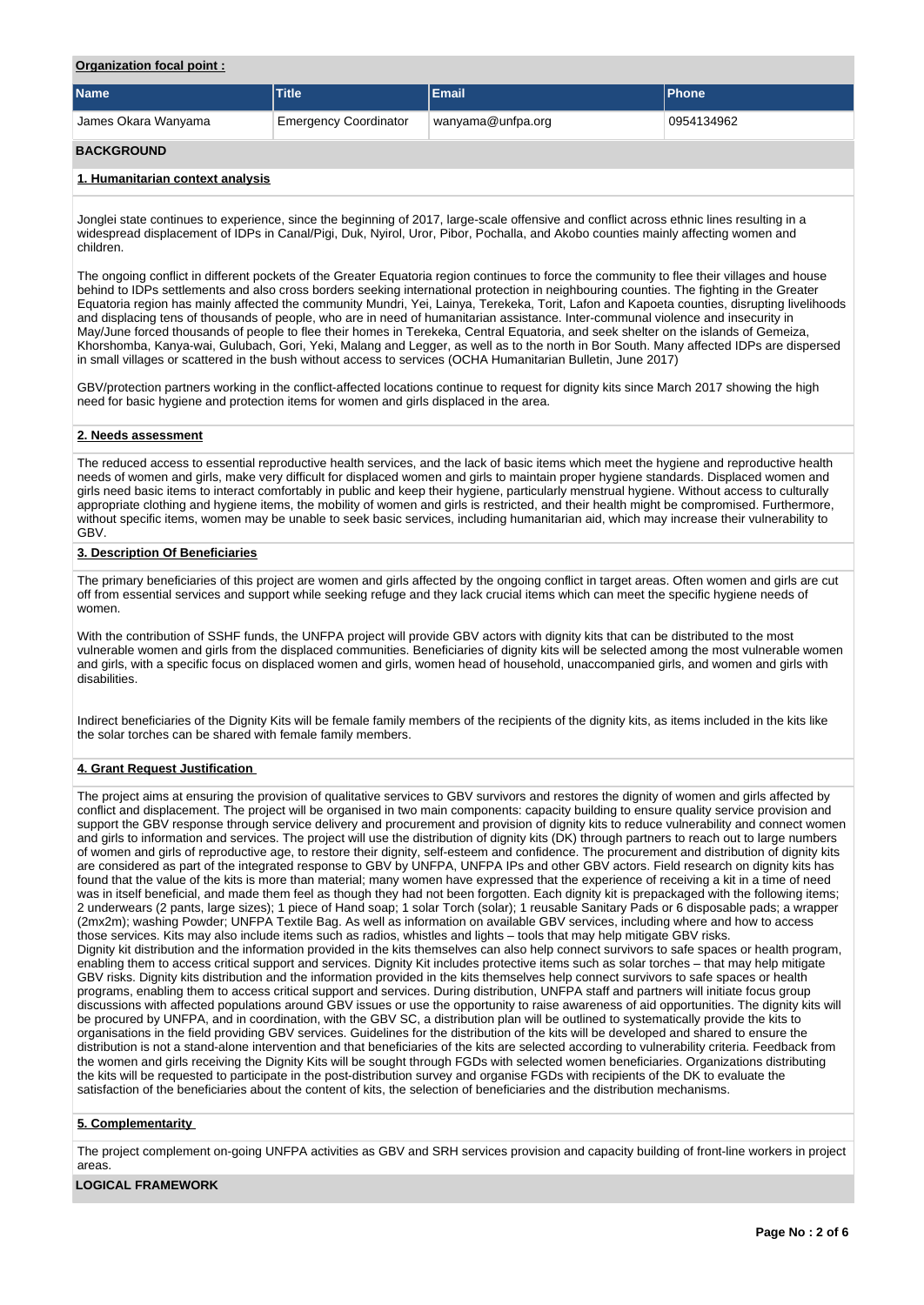## **Organization focal point :**

| <b>Name</b>                      | <b>Title</b>                 | <b>Email</b>      | <b>Phone</b> |
|----------------------------------|------------------------------|-------------------|--------------|
| James Okara Wanyama              | <b>Emergency Coordinator</b> | wanyama@unfpa.org | 0954134962   |
| <b>BACKGROUND</b>                |                              |                   |              |
| 1. Humanitarian context analysis |                              |                   |              |

Jonglei state continues to experience, since the beginning of 2017, large-scale offensive and conflict across ethnic lines resulting in a widespread displacement of IDPs in Canal/Pigi, Duk, Nyirol, Uror, Pibor, Pochalla, and Akobo counties mainly affecting women and children.

The ongoing conflict in different pockets of the Greater Equatoria region continues to force the community to flee their villages and house behind to IDPs settlements and also cross borders seeking international protection in neighbouring counties. The fighting in the Greater Equatoria region has mainly affected the community Mundri, Yei, Lainya, Terekeka, Torit, Lafon and Kapoeta counties, disrupting livelihoods and displacing tens of thousands of people, who are in need of humanitarian assistance. Inter-communal violence and insecurity in May/June forced thousands of people to flee their homes in Terekeka, Central Equatoria, and seek shelter on the islands of Gemeiza, Khorshomba, Kanya-wai, Gulubach, Gori, Yeki, Malang and Legger, as well as to the north in Bor South. Many affected IDPs are dispersed in small villages or scattered in the bush without access to services (OCHA Humanitarian Bulletin, June 2017)

GBV/protection partners working in the conflict-affected locations continue to request for dignity kits since March 2017 showing the high need for basic hygiene and protection items for women and girls displaced in the area.

### **2. Needs assessment**

The reduced access to essential reproductive health services, and the lack of basic items which meet the hygiene and reproductive health needs of women and girls, make very difficult for displaced women and girls to maintain proper hygiene standards. Displaced women and girls need basic items to interact comfortably in public and keep their hygiene, particularly menstrual hygiene. Without access to culturally appropriate clothing and hygiene items, the mobility of women and girls is restricted, and their health might be compromised. Furthermore, without specific items, women may be unable to seek basic services, including humanitarian aid, which may increase their vulnerability to GBV.

### **3. Description Of Beneficiaries**

The primary beneficiaries of this project are women and girls affected by the ongoing conflict in target areas. Often women and girls are cut off from essential services and support while seeking refuge and they lack crucial items which can meet the specific hygiene needs of women.

With the contribution of SSHF funds, the UNFPA project will provide GBV actors with dignity kits that can be distributed to the most vulnerable women and girls from the displaced communities. Beneficiaries of dignity kits will be selected among the most vulnerable women and girls, with a specific focus on displaced women and girls, women head of household, unaccompanied girls, and women and girls with disabilities.

Indirect beneficiaries of the Dignity Kits will be female family members of the recipients of the dignity kits, as items included in the kits like the solar torches can be shared with female family members.

#### **4. Grant Request Justification**

The project aims at ensuring the provision of qualitative services to GBV survivors and restores the dignity of women and girls affected by conflict and displacement. The project will be organised in two main components: capacity building to ensure quality service provision and support the GBV response through service delivery and procurement and provision of dignity kits to reduce vulnerability and connect women and girls to information and services. The project will use the distribution of dignity kits (DK) through partners to reach out to large numbers of women and girls of reproductive age, to restore their dignity, self-esteem and confidence. The procurement and distribution of dignity kits are considered as part of the integrated response to GBV by UNFPA, UNFPA IPs and other GBV actors. Field research on dignity kits has found that the value of the kits is more than material; many women have expressed that the experience of receiving a kit in a time of need was in itself beneficial, and made them feel as though they had not been forgotten. Each dignity kit is prepackaged with the following items; 2 underwears (2 pants, large sizes); 1 piece of Hand soap; 1 solar Torch (solar); 1 reusable Sanitary Pads or 6 disposable pads; a wrapper (2mx2m); washing Powder; UNFPA Textile Bag. As well as information on available GBV services, including where and how to access those services. Kits may also include items such as radios, whistles and lights – tools that may help mitigate GBV risks. Dignity kit distribution and the information provided in the kits themselves can also help connect survivors to safe spaces or health program, enabling them to access critical support and services. Dignity Kit includes protective items such as solar torches – that may help mitigate GBV risks. Dignity kits distribution and the information provided in the kits themselves help connect survivors to safe spaces or health programs, enabling them to access critical support and services. During distribution, UNFPA staff and partners will initiate focus group discussions with affected populations around GBV issues or use the opportunity to raise awareness of aid opportunities. The dignity kits will be procured by UNFPA, and in coordination, with the GBV SC, a distribution plan will be outlined to systematically provide the kits to organisations in the field providing GBV services. Guidelines for the distribution of the kits will be developed and shared to ensure the distribution is not a stand-alone intervention and that beneficiaries of the kits are selected according to vulnerability criteria. Feedback from the women and girls receiving the Dignity Kits will be sought through FGDs with selected women beneficiaries. Organizations distributing the kits will be requested to participate in the post-distribution survey and organise FGDs with recipients of the DK to evaluate the satisfaction of the beneficiaries about the content of kits, the selection of beneficiaries and the distribution mechanisms.

#### **5. Complementarity**

The project complement on-going UNFPA activities as GBV and SRH services provision and capacity building of front-line workers in project areas.

#### **LOGICAL FRAMEWORK**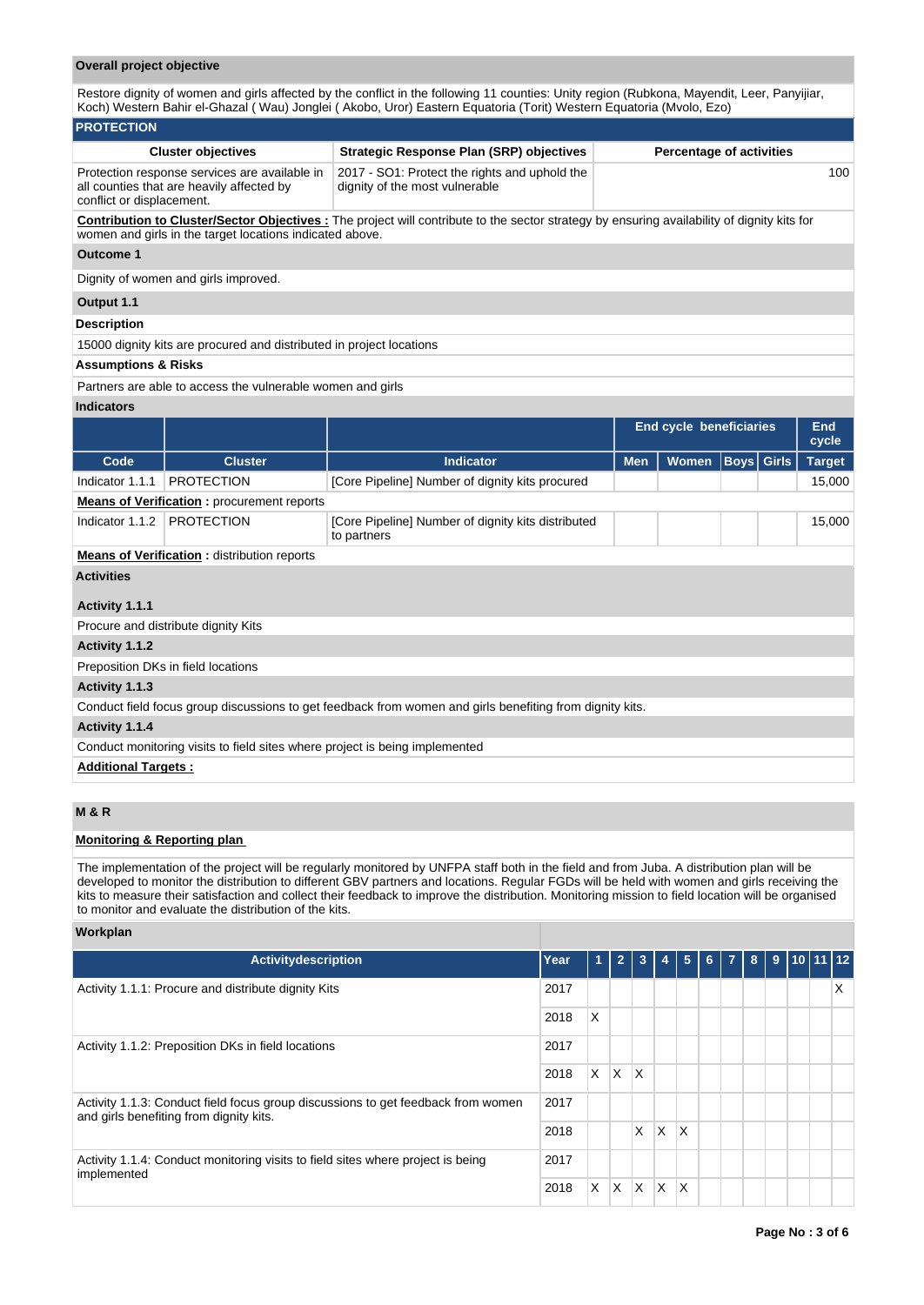## **Overall project objective**

Restore dignity of women and girls affected by the conflict in the following 11 counties: Unity region (Rubkona, Mayendit, Leer, Panyijiar, Koch) Western Bahir el-Ghazal ( Wau) Jonglei ( Akobo, Uror) Eastern Equatoria (Torit) Western Equatoria (Mvolo, Ezo)

#### **PROTECTION Cluster objectives Strategic Response Plan (SRP) objectives Percentage of activities** Protection response services are available in all counties that are heavily affected by conflict or displacement. 2017 - SO1: Protect the rights and uphold the dignity of the most vulnerable 100 **Contribution to Cluster/Sector Objectives :** The project will contribute to the sector strategy by ensuring availability of dignity kits for women and girls in the target locations indicated above.

#### **Outcome 1**

Dignity of women and girls improved.

#### **Output 1.1**

#### **Description**

15000 dignity kits are procured and distributed in project locations

## **Assumptions & Risks**

Partners are able to access the vulnerable women and girls

#### **Indicators**

|                                                                                                          |                                                                             |                                                                   |            | <b>End cycle beneficiaries</b> |                   |  | End<br>cycle  |  |  |  |
|----------------------------------------------------------------------------------------------------------|-----------------------------------------------------------------------------|-------------------------------------------------------------------|------------|--------------------------------|-------------------|--|---------------|--|--|--|
| Code                                                                                                     | <b>Cluster</b>                                                              | <b>Indicator</b>                                                  | <b>Men</b> | <b>Women</b>                   | <b>Boys Girls</b> |  | <b>Target</b> |  |  |  |
| Indicator 1.1.1                                                                                          | <b>PROTECTION</b>                                                           | [Core Pipeline] Number of dignity kits procured                   |            |                                |                   |  | 15,000        |  |  |  |
|                                                                                                          | <b>Means of Verification:</b> procurement reports                           |                                                                   |            |                                |                   |  |               |  |  |  |
| Indicator 1.1.2                                                                                          | <b>PROTECTION</b>                                                           | [Core Pipeline] Number of dignity kits distributed<br>to partners |            |                                |                   |  | 15,000        |  |  |  |
|                                                                                                          | <b>Means of Verification:</b> distribution reports                          |                                                                   |            |                                |                   |  |               |  |  |  |
| <b>Activities</b>                                                                                        |                                                                             |                                                                   |            |                                |                   |  |               |  |  |  |
| Activity 1.1.1                                                                                           |                                                                             |                                                                   |            |                                |                   |  |               |  |  |  |
|                                                                                                          | Procure and distribute dignity Kits                                         |                                                                   |            |                                |                   |  |               |  |  |  |
| Activity 1.1.2                                                                                           |                                                                             |                                                                   |            |                                |                   |  |               |  |  |  |
|                                                                                                          | Preposition DKs in field locations                                          |                                                                   |            |                                |                   |  |               |  |  |  |
| Activity 1.1.3                                                                                           |                                                                             |                                                                   |            |                                |                   |  |               |  |  |  |
| Conduct field focus group discussions to get feedback from women and girls benefiting from dignity kits. |                                                                             |                                                                   |            |                                |                   |  |               |  |  |  |
| Activity 1.1.4                                                                                           |                                                                             |                                                                   |            |                                |                   |  |               |  |  |  |
|                                                                                                          | Conduct monitoring visits to field sites where project is being implemented |                                                                   |            |                                |                   |  |               |  |  |  |
| <b>Additional Targets:</b>                                                                               |                                                                             |                                                                   |            |                                |                   |  |               |  |  |  |

## **M & R**

## **Monitoring & Reporting plan**

The implementation of the project will be regularly monitored by UNFPA staff both in the field and from Juba. A distribution plan will be developed to monitor the distribution to different GBV partners and locations. Regular FGDs will be held with women and girls receiving the kits to measure their satisfaction and collect their feedback to improve the distribution. Monitoring mission to field location will be organised to monitor and evaluate the distribution of the kits.

**Workplan**

| <b>Activitydescription</b>                                                                                                  | Year | $\mathbf{1}$ | $\overline{2}$ | $\overline{\mathbf{3}}$ | $\overline{4}$ | $5\phantom{.0}$ | 6 7 8 |  | $9$ 10 11 12 |   |
|-----------------------------------------------------------------------------------------------------------------------------|------|--------------|----------------|-------------------------|----------------|-----------------|-------|--|--------------|---|
| Activity 1.1.1: Procure and distribute dignity Kits                                                                         | 2017 |              |                |                         |                |                 |       |  |              | X |
|                                                                                                                             | 2018 | X            |                |                         |                |                 |       |  |              |   |
| Activity 1.1.2: Preposition DKs in field locations                                                                          | 2017 |              |                |                         |                |                 |       |  |              |   |
|                                                                                                                             | 2018 | X.           | <b>X</b>       | $\mathsf{\chi}$         |                |                 |       |  |              |   |
| Activity 1.1.3: Conduct field focus group discussions to get feedback from women<br>and girls benefiting from dignity kits. | 2017 |              |                |                         |                |                 |       |  |              |   |
|                                                                                                                             |      |              |                | X                       | X              | X               |       |  |              |   |
| Activity 1.1.4: Conduct monitoring visits to field sites where project is being<br>implemented                              |      |              |                |                         |                |                 |       |  |              |   |
|                                                                                                                             |      | X.           | X.             | ΙX.                     | ΙX.            | X               |       |  |              |   |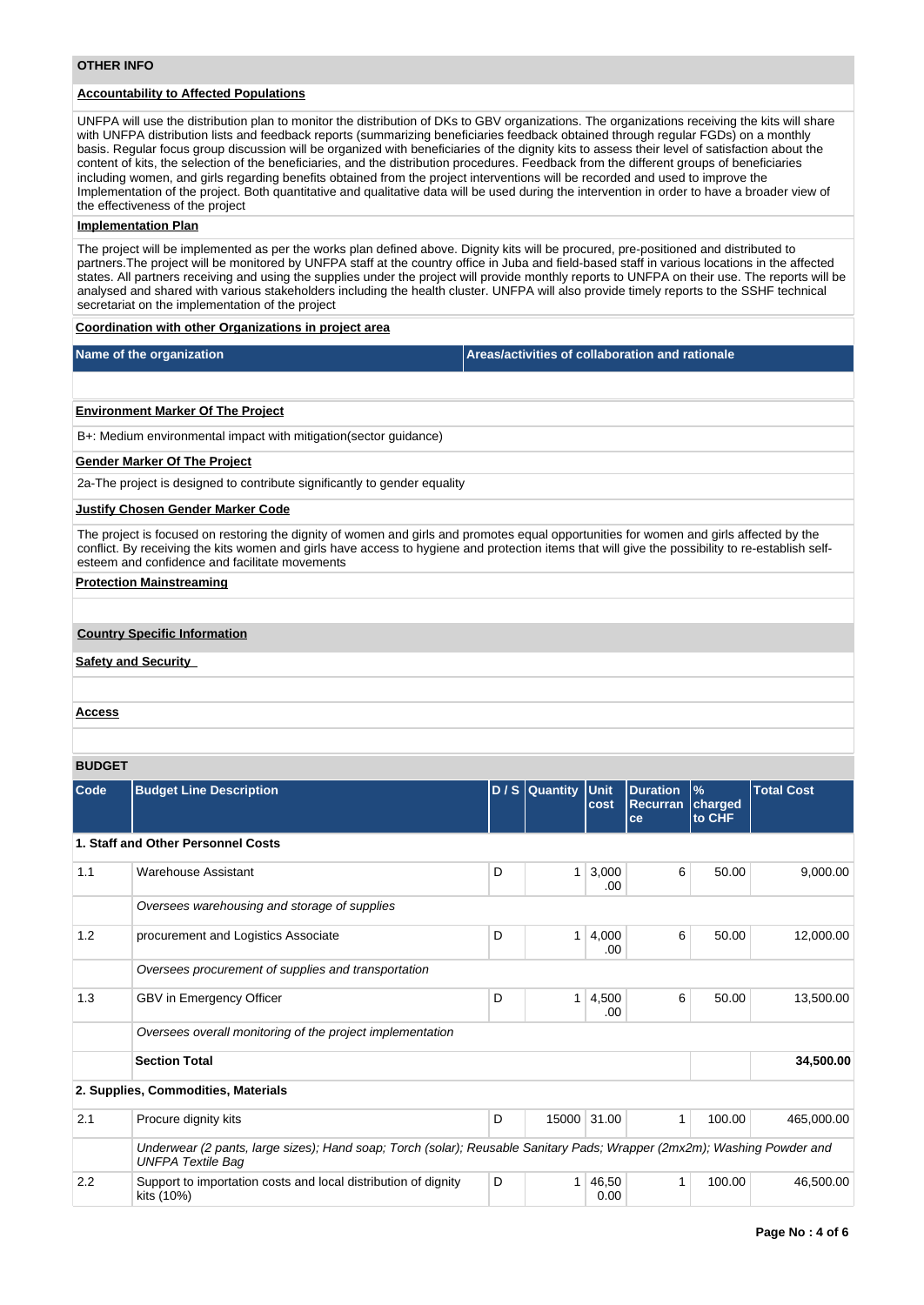## **Accountability to Affected Populations**

UNFPA will use the distribution plan to monitor the distribution of DKs to GBV organizations. The organizations receiving the kits will share with UNFPA distribution lists and feedback reports (summarizing beneficiaries feedback obtained through regular FGDs) on a monthly basis. Regular focus group discussion will be organized with beneficiaries of the dignity kits to assess their level of satisfaction about the content of kits, the selection of the beneficiaries, and the distribution procedures. Feedback from the different groups of beneficiaries including women, and girls regarding benefits obtained from the project interventions will be recorded and used to improve the Implementation of the project. Both quantitative and qualitative data will be used during the intervention in order to have a broader view of the effectiveness of the project

#### **Implementation Plan**

The project will be implemented as per the works plan defined above. Dignity kits will be procured, pre-positioned and distributed to partners.The project will be monitored by UNFPA staff at the country office in Juba and field-based staff in various locations in the affected states. All partners receiving and using the supplies under the project will provide monthly reports to UNFPA on their use. The reports will be analysed and shared with various stakeholders including the health cluster. UNFPA will also provide timely reports to the SSHF technical secretariat on the implementation of the project

### **Coordination with other Organizations in project area**

|  |  | Name of the organization |  |
|--|--|--------------------------|--|
|--|--|--------------------------|--|

**Areas/activities of collaboration and rationale** 

#### **Environment Marker Of The Project**

B+: Medium environmental impact with mitigation(sector guidance)

#### **Gender Marker Of The Project**

2a-The project is designed to contribute significantly to gender equality

#### **Justify Chosen Gender Marker Code**

The project is focused on restoring the dignity of women and girls and promotes equal opportunities for women and girls affected by the conflict. By receiving the kits women and girls have access to hygiene and protection items that will give the possibility to re-establish selfesteem and confidence and facilitate movements

## **Protection Mainstreaming**

#### **Country Specific Information**

### **Safety and Security**

#### **Access**

#### **BUDGET**

| <b>Code</b> | <b>Budget Line Description</b>                                                                                                                      |   | D / S Quantity Unit | cost          | <b>Duration</b><br><b>Recurran</b><br>ce | $\frac{9}{6}$<br>charged<br>to CHF | <b>Total Cost</b> |
|-------------|-----------------------------------------------------------------------------------------------------------------------------------------------------|---|---------------------|---------------|------------------------------------------|------------------------------------|-------------------|
|             | 1. Staff and Other Personnel Costs                                                                                                                  |   |                     |               |                                          |                                    |                   |
| 1.1         | <b>Warehouse Assistant</b>                                                                                                                          | D | 1                   | 3,000<br>.00  | 6                                        | 50.00                              | 9,000.00          |
|             | Oversees warehousing and storage of supplies                                                                                                        |   |                     |               |                                          |                                    |                   |
| 1.2         | procurement and Logistics Associate                                                                                                                 | D | 1                   | 4,000<br>.00  | 6                                        | 50.00                              | 12,000.00         |
|             | Oversees procurement of supplies and transportation                                                                                                 |   |                     |               |                                          |                                    |                   |
| 1.3         | GBV in Emergency Officer                                                                                                                            | D | 1                   | 4,500<br>.00  | 6                                        | 50.00                              | 13,500.00         |
|             | Oversees overall monitoring of the project implementation                                                                                           |   |                     |               |                                          |                                    |                   |
|             | <b>Section Total</b>                                                                                                                                |   |                     |               |                                          |                                    | 34,500.00         |
|             | 2. Supplies, Commodities, Materials                                                                                                                 |   |                     |               |                                          |                                    |                   |
| 2.1         | Procure dignity kits                                                                                                                                | D |                     | 15000 31.00   | 1                                        | 100.00                             | 465,000.00        |
|             | Underwear (2 pants, large sizes); Hand soap; Torch (solar); Reusable Sanitary Pads; Wrapper (2mx2m); Washing Powder and<br><b>UNFPA Textile Bag</b> |   |                     |               |                                          |                                    |                   |
| 2.2         | Support to importation costs and local distribution of dignity<br>kits (10%)                                                                        | D |                     | 46,50<br>0.00 |                                          | 100.00                             | 46,500.00         |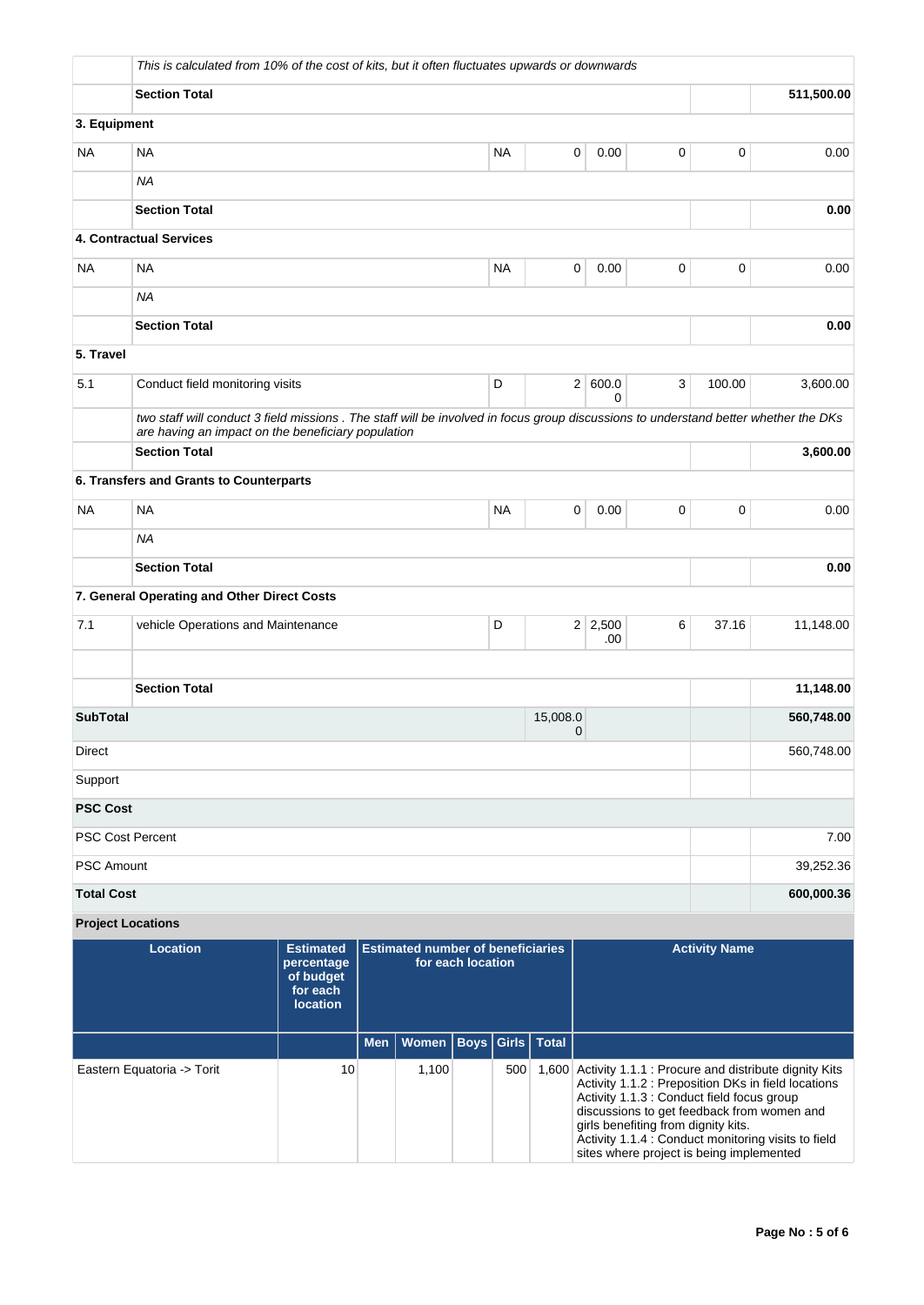|                          | This is calculated from 10% of the cost of kits, but it often fluctuates upwards or downwards                                                                                             |                                                                            |            |                                          |                   |           |                      |                       |                                                                                                                               |                      |                                                                                                                                                                                                                        |
|--------------------------|-------------------------------------------------------------------------------------------------------------------------------------------------------------------------------------------|----------------------------------------------------------------------------|------------|------------------------------------------|-------------------|-----------|----------------------|-----------------------|-------------------------------------------------------------------------------------------------------------------------------|----------------------|------------------------------------------------------------------------------------------------------------------------------------------------------------------------------------------------------------------------|
|                          | <b>Section Total</b>                                                                                                                                                                      |                                                                            |            |                                          |                   |           |                      |                       |                                                                                                                               |                      | 511,500.00                                                                                                                                                                                                             |
| 3. Equipment             |                                                                                                                                                                                           |                                                                            |            |                                          |                   |           |                      |                       |                                                                                                                               |                      |                                                                                                                                                                                                                        |
| NA                       | <b>NA</b><br><b>NA</b><br>0<br>0<br>0.00                                                                                                                                                  |                                                                            |            |                                          |                   |           |                      |                       |                                                                                                                               |                      | 0.00                                                                                                                                                                                                                   |
|                          | <b>NA</b>                                                                                                                                                                                 |                                                                            |            |                                          |                   |           |                      |                       |                                                                                                                               |                      |                                                                                                                                                                                                                        |
|                          | <b>Section Total</b>                                                                                                                                                                      |                                                                            |            |                                          |                   |           |                      |                       |                                                                                                                               |                      | 0.00                                                                                                                                                                                                                   |
|                          | 4. Contractual Services                                                                                                                                                                   |                                                                            |            |                                          |                   |           |                      |                       |                                                                                                                               |                      |                                                                                                                                                                                                                        |
| <b>NA</b>                | <b>NA</b>                                                                                                                                                                                 |                                                                            |            |                                          |                   | <b>NA</b> |                      | 0<br>0.00             | $\mathbf 0$                                                                                                                   | 0                    | 0.00                                                                                                                                                                                                                   |
|                          | <b>NA</b>                                                                                                                                                                                 |                                                                            |            |                                          |                   |           |                      |                       |                                                                                                                               |                      |                                                                                                                                                                                                                        |
|                          | <b>Section Total</b>                                                                                                                                                                      |                                                                            |            |                                          |                   |           |                      |                       |                                                                                                                               |                      | 0.00                                                                                                                                                                                                                   |
| 5. Travel                |                                                                                                                                                                                           |                                                                            |            |                                          |                   |           |                      |                       |                                                                                                                               |                      |                                                                                                                                                                                                                        |
| 5.1                      | Conduct field monitoring visits                                                                                                                                                           |                                                                            |            |                                          |                   | D         |                      | 2   600.0<br>0        | 3                                                                                                                             | 100.00               | 3,600.00                                                                                                                                                                                                               |
|                          | two staff will conduct 3 field missions. The staff will be involved in focus group discussions to understand better whether the DKs<br>are having an impact on the beneficiary population |                                                                            |            |                                          |                   |           |                      |                       |                                                                                                                               |                      |                                                                                                                                                                                                                        |
|                          | <b>Section Total</b>                                                                                                                                                                      |                                                                            |            |                                          |                   |           |                      |                       |                                                                                                                               |                      | 3,600.00                                                                                                                                                                                                               |
|                          | 6. Transfers and Grants to Counterparts                                                                                                                                                   |                                                                            |            |                                          |                   |           |                      |                       |                                                                                                                               |                      |                                                                                                                                                                                                                        |
| <b>NA</b>                | <b>NA</b>                                                                                                                                                                                 |                                                                            |            |                                          |                   | <b>NA</b> |                      | 0<br>0.00             | $\mathbf 0$                                                                                                                   | 0                    | 0.00                                                                                                                                                                                                                   |
|                          | <b>NA</b>                                                                                                                                                                                 |                                                                            |            |                                          |                   |           |                      |                       |                                                                                                                               |                      |                                                                                                                                                                                                                        |
|                          | <b>Section Total</b>                                                                                                                                                                      |                                                                            |            |                                          |                   |           |                      |                       |                                                                                                                               |                      | 0.00                                                                                                                                                                                                                   |
|                          | 7. General Operating and Other Direct Costs                                                                                                                                               |                                                                            |            |                                          |                   |           |                      |                       |                                                                                                                               |                      |                                                                                                                                                                                                                        |
| 7.1                      | vehicle Operations and Maintenance                                                                                                                                                        |                                                                            |            |                                          |                   | D         |                      | $2 \mid 2,500$<br>.00 | 6                                                                                                                             | 37.16                | 11,148.00                                                                                                                                                                                                              |
|                          |                                                                                                                                                                                           |                                                                            |            |                                          |                   |           |                      |                       |                                                                                                                               |                      |                                                                                                                                                                                                                        |
|                          | <b>Section Total</b>                                                                                                                                                                      |                                                                            |            |                                          |                   |           |                      |                       |                                                                                                                               |                      | 11,148.00                                                                                                                                                                                                              |
| <b>SubTotal</b>          |                                                                                                                                                                                           |                                                                            |            |                                          |                   |           | 15,008.0             | 0                     |                                                                                                                               |                      | 560,748.00                                                                                                                                                                                                             |
| Direct                   |                                                                                                                                                                                           |                                                                            |            |                                          |                   |           |                      |                       |                                                                                                                               |                      | 560,748.00                                                                                                                                                                                                             |
| Support                  |                                                                                                                                                                                           |                                                                            |            |                                          |                   |           |                      |                       |                                                                                                                               |                      |                                                                                                                                                                                                                        |
| <b>PSC Cost</b>          |                                                                                                                                                                                           |                                                                            |            |                                          |                   |           |                      |                       |                                                                                                                               |                      |                                                                                                                                                                                                                        |
| <b>PSC Cost Percent</b>  |                                                                                                                                                                                           |                                                                            |            |                                          |                   |           |                      |                       |                                                                                                                               |                      | 7.00                                                                                                                                                                                                                   |
| <b>PSC Amount</b>        |                                                                                                                                                                                           |                                                                            |            |                                          |                   |           |                      |                       |                                                                                                                               |                      | 39,252.36                                                                                                                                                                                                              |
| <b>Total Cost</b>        |                                                                                                                                                                                           |                                                                            |            |                                          |                   |           |                      |                       |                                                                                                                               |                      | 600,000.36                                                                                                                                                                                                             |
| <b>Project Locations</b> |                                                                                                                                                                                           |                                                                            |            |                                          |                   |           |                      |                       |                                                                                                                               |                      |                                                                                                                                                                                                                        |
|                          | <b>Location</b>                                                                                                                                                                           | <b>Estimated</b><br>percentage<br>of budget<br>for each<br><b>location</b> |            | <b>Estimated number of beneficiaries</b> | for each location |           |                      |                       |                                                                                                                               | <b>Activity Name</b> |                                                                                                                                                                                                                        |
|                          |                                                                                                                                                                                           |                                                                            | <b>Men</b> | Women                                    |                   |           | Boys   Girls   Total |                       |                                                                                                                               |                      |                                                                                                                                                                                                                        |
|                          | Eastern Equatoria -> Torit                                                                                                                                                                | 10                                                                         |            | 1,100                                    |                   | 500       |                      |                       | Activity 1.1.3 : Conduct field focus group<br>girls benefiting from dignity kits.<br>eitos whore project is hoing implemented |                      | 1,600 Activity 1.1.1 : Procure and distribute dignity Kits<br>Activity 1.1.2 : Preposition DKs in field locations<br>discussions to get feedback from women and<br>Activity 1.1.4 : Conduct monitoring visits to field |

sites where project is being implemented